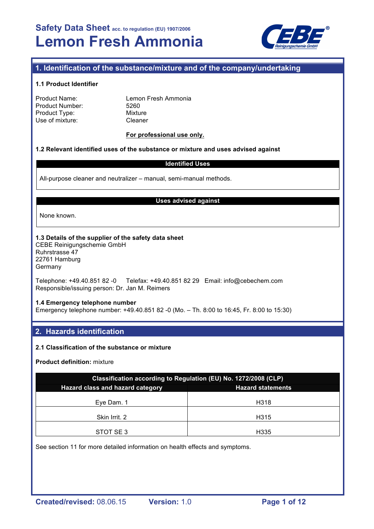

### **1. Identification of the substance/mixture and of the company/undertaking**

#### **1.1 Product Identifier**

| Product Name:   |  |
|-----------------|--|
| Product Number: |  |
| Product Type:   |  |
| Use of mixture: |  |

Lemon Fresh Ammonia 5260 **Mixture** Cleaner

#### **For professional use only.**

#### **1.2 Relevant identified uses of the substance or mixture and uses advised against**

#### **Identified Uses**

All-purpose cleaner and neutralizer – manual, semi-manual methods.

#### **Uses advised against**

None known.

#### **1.3 Details of the supplier of the safety data sheet**

CEBE Reinigungschemie GmbH Ruhrstrasse 47 22761 Hamburg **Germany** 

Telephone: +49.40.851 82 -0 Telefax: +49.40.851 82 29 Email: info@cebechem.com Responsible/issuing person: Dr. Jan M. Reimers

#### **1.4 Emergency telephone number**

Emergency telephone number: +49.40.851 82 -0 (Mo. – Th. 8:00 to 16:45, Fr. 8:00 to 15:30)

#### **2. Hazards identification**

#### **2.1 Classification of the substance or mixture**

#### **Product definition:** mixture

| Classification according to Regulation (EU) No. 1272/2008 (CLP) |                          |  |  |
|-----------------------------------------------------------------|--------------------------|--|--|
| Hazard class and hazard category                                | <b>Hazard statements</b> |  |  |
| Eve Dam. 1                                                      | H318                     |  |  |
| Skin Irrit. 2                                                   | H <sub>315</sub>         |  |  |
| STOT SE3                                                        | H <sub>335</sub>         |  |  |

See section 11 for more detailed information on health effects and symptoms.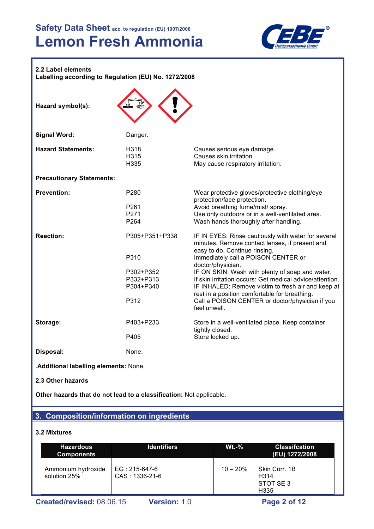

**2.2 Label elements Labelling according to Regulation (EU) No. 1272/2008 Hazard symbol(s):** Signal Word: Danger. **Hazard Statements:** H318 Causes serious eye damage. H315 Causes skin irritation. H335 May cause respiratory irritation. **Precautionary Statements: Prevention:** P280 P280 Wear protective gloves/protective clothing/eye protection/face protection. P261 Avoid breathing fume/mist/ spray. P271 Use only outdoors or in a well-ventilated area. P264 Wash hands thoroughly after handling. **Reaction:** P305+P351+P338 IF IN EYES: Rinse cautiously with water for several minutes. Remove contact lenses, if present and easy to do. Continue rinsing. P310 Immediately call a POISON CENTER or doctor/physician. P302+P352 IF ON SKIN: Wash with plenty of soap and water. P332+P313 If skin irritation occurs: Get medical advice/attention.<br>P304+P340 IF INHALED: Remove victim to fresh air and keep at IF INHALED: Remove victim to fresh air and keep at rest in a position comfortable for breathing. P312 Call a POISON CENTER or doctor/physician if you feel unwell. **Storage:** P403+P233 Store in a well-ventilated place. Keep container tightly closed. P405 Store locked up. **Disposal:** None.

.**Additional labelling elements:** None.

**2.3 Other hazards**

**Other hazards that do not lead to a classification:** Not applicable.

### **3. Composition/information on ingredients**

#### **3.2 Mixtures**

| <b>Hazardous</b><br><b>Components</b>                            | <b>Identifiers</b>              | $Wt.-%$    | <b>Classifcation</b><br>(EU) 1272/2008                             |
|------------------------------------------------------------------|---------------------------------|------------|--------------------------------------------------------------------|
| Ammonium hydroxide<br>solution 25%                               | EG: 215-647-6<br>CAS: 1336-21-6 | $10 - 20%$ | Skin Corr. 1B<br>H <sub>3</sub> 14<br>STOT SE3<br>H <sub>335</sub> |
| Created/revised: 08.06.15<br>Page 2 of 12<br><b>Version: 1.0</b> |                                 |            |                                                                    |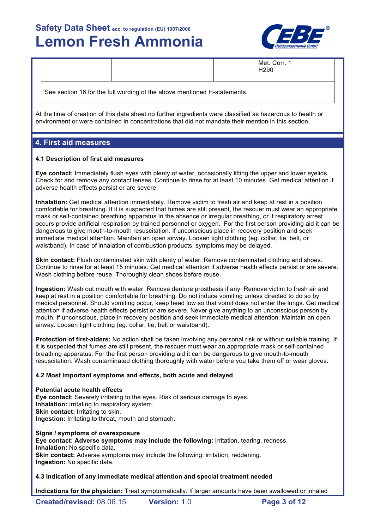

|  | Met. Corr. 1<br>H290 |
|--|----------------------|
|--|----------------------|

See section 16 for the full wording of the above mentioned H-statements.

At the time of creation of this data sheet no further ingredients were classified as hazardous to health or environment or were contained in concentrations that did not mandate their mention in this section.

### **4. First aid measures**

#### **4.1 Description of first aid measures**

**Eye contact:** Immediately flush eyes with plenty of water, occasionally lifting the upper and lower eyelids. Check for and remove any contact lenses. Continue to rinse for at least 10 minutes. Get medical attention if adverse health effects persist or are severe.

**Inhalation:** Get medical attention immediately. Remove victim to fresh air and keep at rest in a position comfortable for breathing. If it is suspected that fumes are still present, the rescuer must wear an appropriate mask or self-contained breathing apparatus In the absence or irregular breathing, or if respiratory arrest occurs provide artificial respiration by trained personnel or oxygen. For the first person providing aid it can be dangerous to give mouth-to-mouth resuscitation. If unconscious place in recovery position and seek immediate medical attention. Maintain an open airway. Loosen tight clothing (eg. collar, tie, belt, or waistband). In case of inhalation of combustion products, symptoms may be delayed.

**Skin contact:** Flush contaminated skin with plenty of water. Remove contaminated clothing and shoes. Continue to rinse for at least 15 minutes. Get medical attention if adverse health effects persist or are severe. Wash clothing before reuse. Thoroughly clean shoes before reuse.

**Ingestion:** Wash out mouth with water. Remove denture prosthesis if any. Remove victim to fresh air and keep at rest in a position comfortable for breathing. Do not induce vomiting unless directed to do so by medical personnel. Should vomiting occur, keep head low so that vomit does not enter the lungs. Get medical attention if adverse health effects persist or are severe. Never give anything to an unconscious person by mouth. If unconscious, place in recovery position and seek immediate medical attention. Maintain an open airway. Loosen tight clothing (eg. collar, tie, belt or waistband).

**Protection of first-aiders:** No action shall be taken involving any personal risk or without suitable training. If it is suspected that fumes are still present, the rescuer must wear an appropriate mask or self-contained breathing apparatus. For the first person providing aid it can be dangerous to give mouth-to-mouth resuscitation. Wash contaminated clothing thoroughly with water before you take them off or wear gloves.

#### **4.2 Most important symptoms and effects, both acute and delayed**

#### **Potential acute health effects Eye contact:** Severely irritating to the eyes. Risk of serious damage to eyes. **Inhalation:** Irritating to respiratory system. **Skin contact: Irritating to skin. Ingestion:** Irritating to throat, mouth and stomach.

#### **Signs / symptoms of overexposure Eye contact: Adverse symptoms may include the following:** irritation, tearing, redness. **Inhalation:** No specific data. **Skin contact:** Adverse symptoms may include the following: irritation, reddening. **Ingestion:** No specific data.

**4.3 Indication of any immediate medical attention and special treatment needed**

**Indications for the physician:** Treat symptomatically. If larger amounts have been swallowed or inhaled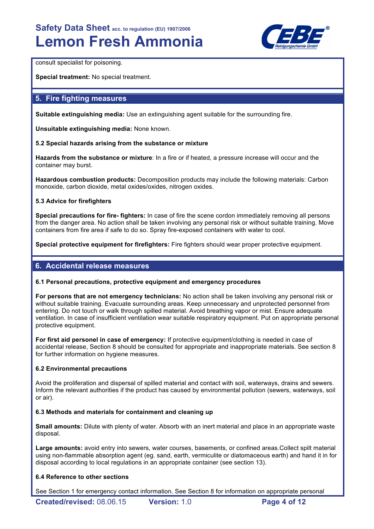

consult specialist for poisoning.

**Special treatment:** No special treatment.

### **5. Fire fighting measures**

**Suitable extinguishing media:** Use an extinguishing agent suitable for the surrounding fire.

**Unsuitable extinguishing media:** None known.

#### **5.2 Special hazards arising from the substance or mixture**

**Hazards from the substance or mixture**: In a fire or if heated, a pressure increase will occur and the container may burst.

**Hazardous combustion products:** Decomposition products may include the following materials: Carbon monoxide, carbon dioxide, metal oxides/oxides, nitrogen oxides.

#### **5.3 Advice for firefighters**

**Special precautions for fire- fighters:** In case of fire the scene cordon immediately removing all persons from the danger area. No action shall be taken involving any personal risk or without suitable training. Move containers from fire area if safe to do so. Spray fire-exposed containers with water to cool.

**Special protective equipment for firefighters:** Fire fighters should wear proper protective equipment.

#### **6. Accidental release measures**

#### **6.1 Personal precautions, protective equipment and emergency procedures**

**For persons that are not emergency technicians:** No action shall be taken involving any personal risk or without suitable training. Evacuate surrounding areas. Keep unnecessary and unprotected personnel from entering. Do not touch or walk through spilled material. Avoid breathing vapor or mist. Ensure adequate ventilation. In case of insufficient ventilation wear suitable respiratory equipment. Put on appropriate personal protective equipment.

**For first aid personel in case of emergency:** If protective equipment/clothing is needed in case of accidental release, Section 8 should be consulted for appropriate and inappropriate materials. See section 8 for further information on hygiene measures.

#### **6.2 Environmental precautions**

Avoid the proliferation and dispersal of spilled material and contact with soil, waterways, drains and sewers. Inform the relevant authorities if the product has caused by environmental pollution (sewers, waterways, soil or air).

#### **6.3 Methods and materials for containment and cleaning up**

**Small amounts:** Dilute with plenty of water. Absorb with an inert material and place in an appropriate waste disposal.

**Large amounts:** avoid entry into sewers, water courses, basements, or confined areas.Collect spilt material using non-flammable absorption agent (eg. sand, earth, vermiculite or diatomaceous earth) and hand it in for disposal according to local regulations in an appropriate container (see section 13).

#### **6.4 Reference to other sections**

See Section 1 for emergency contact information. See Section 8 for information on appropriate personal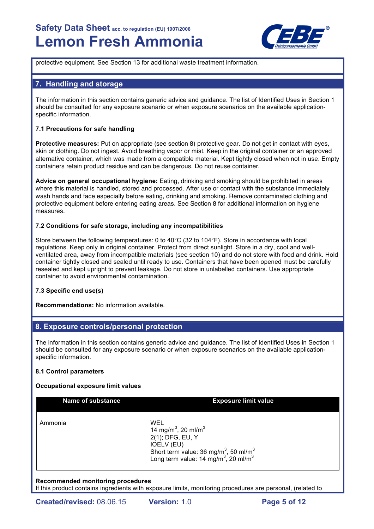

protective equipment. See Section 13 for additional waste treatment information.

### **7. Handling and storage**

The information in this section contains generic advice and guidance. The list of Identified Uses in Section 1 should be consulted for any exposure scenario or when exposure scenarios on the available applicationspecific information.

#### **7.1 Precautions for safe handling**

**Protective measures:** Put on appropriate (see section 8) protective gear. Do not get in contact with eyes, skin or clothing. Do not ingest. Avoid breathing vapor or mist. Keep in the original container or an approved alternative container, which was made from a compatible material. Kept tightly closed when not in use. Empty containers retain product residue and can be dangerous. Do not reuse container.

**Advice on general occupational hygiene:** Eating, drinking and smoking should be prohibited in areas where this material is handled, stored and processed. After use or contact with the substance immediately wash hands and face especially before eating, drinking and smoking. Remove contaminated clothing and protective equipment before entering eating areas. See Section 8 for additional information on hygiene measures.

#### **7.2 Conditions for safe storage, including any incompatibilities**

Store between the following temperatures: 0 to 40°C (32 to 104°F). Store in accordance with local regulations. Keep only in original container. Protect from direct sunlight. Store in a dry, cool and wellventilated area, away from incompatible materials (see section 10) and do not store with food and drink. Hold container tightly closed and sealed until ready to use. Containers that have been opened must be carefully resealed and kept upright to prevent leakage. Do not store in unlabelled containers. Use appropriate container to avoid environmental contamination.

#### **7.3 Specific end use(s)**

**Recommendations:** No information available.

### **8. Exposure controls/personal protection**

The information in this section contains generic advice and guidance. The list of Identified Uses in Section 1 should be consulted for any exposure scenario or when exposure scenarios on the available applicationspecific information.

#### **8.1 Control parameters**

#### **Occupational exposure limit values**

| <b>Name of substance</b> | <b>Exposure limit value</b>                                                                                                                                                                                                  |
|--------------------------|------------------------------------------------------------------------------------------------------------------------------------------------------------------------------------------------------------------------------|
| Ammonia                  | WEL<br>14 mg/m <sup>3</sup> , 20 ml/m <sup>3</sup><br>2(1); DFG, EU, Y<br><b>IOELV (EU)</b><br>Short term value: 36 mg/m <sup>3</sup> , 50 ml/m <sup>3</sup><br>Long term value: 14 mg/m <sup>3</sup> , 20 ml/m <sup>3</sup> |

#### **Recommended monitoring procedures**

If this product contains ingredients with exposure limits, monitoring procedures are personal, (related to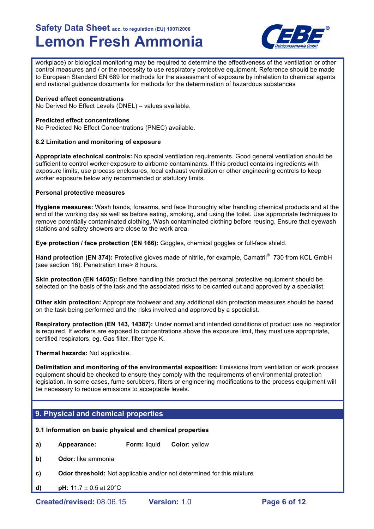

workplace) or biological monitoring may be required to determine the effectiveness of the ventilation or other control measures and / or the necessity to use respiratory protective equipment. Reference should be made to European Standard EN 689 for methods for the assessment of exposure by inhalation to chemical agents and national guidance documents for methods for the determination of hazardous substances

#### **Derived effect concentrations**

No Derived No Effect Levels (DNEL) – values available.

#### **Predicted effect concentrations**

No Predicted No Effect Concentrations (PNEC) available.

#### **8.2 Limitation and monitoring of exposure**

**Appropriate etechnical controls:** No special ventilation requirements. Good general ventilation should be sufficient to control worker exposure to airborne contaminants. If this product contains ingredients with exposure limits, use process enclosures, local exhaust ventilation or other engineering controls to keep worker exposure below any recommended or statutory limits.

#### **Personal protective measures**

**Hygiene measures:** Wash hands, forearms, and face thoroughly after handling chemical products and at the end of the working day as well as before eating, smoking, and using the toilet. Use appropriate techniques to remove potentially contaminated clothing. Wash contaminated clothing before reusing. Ensure that eyewash stations and safety showers are close to the work area.

**Eye protection / face protection (EN 166):** Goggles, chemical goggles or full-face shield.

Hand protection (EN 374): Protective gloves made of nitrile, for example, Camatril<sup>®</sup> 730 from KCL GmbH (see section 16). Penetration time> 8 hours.

**Skin protection (EN 14605):** Before handling this product the personal protective equipment should be selected on the basis of the task and the associated risks to be carried out and approved by a specialist.

**Other skin protection:** Appropriate footwear and any additional skin protection measures should be based on the task being performed and the risks involved and approved by a specialist.

**Respiratory protection (EN 143, 14387):** Under normal and intended conditions of product use no respirator is required. If workers are exposed to concentrations above the exposure limit, they must use appropriate, certified respirators, eg. Gas filter, filter type K.

**Thermal hazards:** Not applicable.

**Delimitation and monitoring of the environmental exposition:** Emissions from ventilation or work process equipment should be checked to ensure they comply with the requirements of environmental protection legislation. In some cases, fume scrubbers, filters or engineering modifications to the process equipment will be necessary to reduce emissions to acceptable levels.

#### **9. Physical and chemical properties**

**9.1 Information on basic physical and chemical properties** 

**a) Appearance: Form:** liquid **Color:** yellow

- **b) Odor:** like ammonia
- **c) Odor threshold:** Not applicable and/or not determined for this mixture
- **d) pH:**  $11.7 \pm 0.5$  at  $20^{\circ}$ C

**Created/revised:** 08.06.15 **Version:** 1.0 **Page 6 of 12**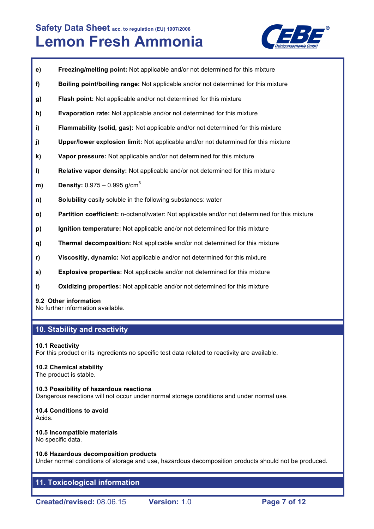

- **e) Freezing/melting point:** Not applicable and/or not determined for this mixture
- **f) Boiling point/boiling range:** Not applicable and/or not determined for this mixture
- **g) Flash point:** Not applicable and/or not determined for this mixture
- **h) Evaporation rate:** Not applicable and/or not determined for this mixture
- **i) Flammability (solid, gas):** Not applicable and/or not determined for this mixture
- **j) Upper/lower explosion limit:** Not applicable and/or not determined for this mixture
- **k) Vapor pressure:** Not applicable and/or not determined for this mixture
- **l) Relative vapor density:** Not applicable and/or not determined for this mixture
- **m) Density:** 0.975 0.995 g/cm<sup>3</sup>
- **n) Solubility** easily soluble in the following substances: water
- **o) Partition coefficient:** n-octanol/water: Not applicable and/or not determined for this mixture
- **p) Ignition temperature:** Not applicable and/or not determined for this mixture
- **q) Thermal decomposition:** Not applicable and/or not determined for this mixture
- **r) Viscositiy, dynamic:** Not applicable and/or not determined for this mixture
- **s) Explosive properties:** Not applicable and/or not determined for this mixture
- **t) Oxidizing properties:** Not applicable and/or not determined for this mixture

#### **9.2 Other information**

No further information available.

### **10. Stability and reactivity**

#### **10.1 Reactivity**

For this product or its ingredients no specific test data related to reactivity are available.

#### **10.2 Chemical stability**

The product is stable.

#### **10.3 Possibility of hazardous reactions**

Dangerous reactions will not occur under normal storage conditions and under normal use.

## **10.4 Conditions to avoid**

Acids.

#### **10.5 Incompatible materials** No specific data.

#### **10.6 Hazardous decomposition products**

Under normal conditions of storage and use, hazardous decomposition products should not be produced.

## **11. Toxicological information**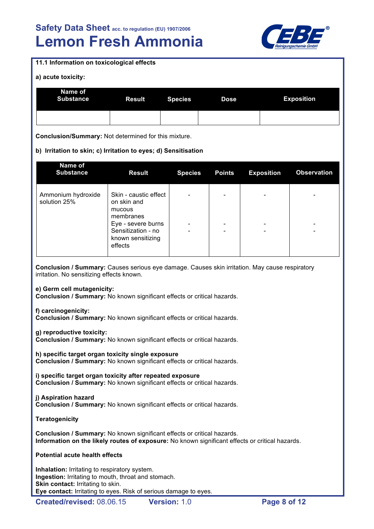

| 11.1 Information on toxicological effects                                                                                                                                                                     |                                                                                                 |                |               |                   |                    |  |
|---------------------------------------------------------------------------------------------------------------------------------------------------------------------------------------------------------------|-------------------------------------------------------------------------------------------------|----------------|---------------|-------------------|--------------------|--|
| a) acute toxicity:                                                                                                                                                                                            |                                                                                                 |                |               |                   |                    |  |
| Name of<br><b>Substance</b>                                                                                                                                                                                   | <b>Result</b>                                                                                   | <b>Species</b> | <b>Dose</b>   |                   | <b>Exposition</b>  |  |
|                                                                                                                                                                                                               |                                                                                                 |                |               |                   |                    |  |
| Conclusion/Summary: Not determined for this mixture.                                                                                                                                                          |                                                                                                 |                |               |                   |                    |  |
| b) Irritation to skin; c) Irritation to eyes; d) Sensitisation                                                                                                                                                |                                                                                                 |                |               |                   |                    |  |
| Name of                                                                                                                                                                                                       |                                                                                                 |                |               |                   |                    |  |
| <b>Substance</b>                                                                                                                                                                                              | <b>Result</b>                                                                                   | <b>Species</b> | <b>Points</b> | <b>Exposition</b> | <b>Observation</b> |  |
| Ammonium hydroxide<br>solution 25%                                                                                                                                                                            | Skin - caustic effect<br>on skin and                                                            |                |               |                   |                    |  |
|                                                                                                                                                                                                               | mucous<br>membranes<br>Eye - severe burns<br>Sensitization - no<br>known sensitizing<br>effects |                |               |                   |                    |  |
| Conclusion / Summary: Causes serious eye damage. Causes skin irritation. May cause respiratory<br>irritation. No sensitizing effects known.<br>e) Germ cell mutagenicity:                                     |                                                                                                 |                |               |                   |                    |  |
| Conclusion / Summary: No known significant effects or critical hazards.<br>f) carcinogenicity:<br>Conclusion / Summary: No known significant effects or critical hazards.                                     |                                                                                                 |                |               |                   |                    |  |
| g) reproductive toxicity:<br>Conclusion / Summary: No known significant effects or critical hazards.                                                                                                          |                                                                                                 |                |               |                   |                    |  |
| h) specific target organ toxicity single exposure<br>Conclusion / Summary: No known significant effects or critical hazards.                                                                                  |                                                                                                 |                |               |                   |                    |  |
| i) specific target organ toxicity after repeated exposure<br>Conclusion / Summary: No known significant effects or critical hazards.                                                                          |                                                                                                 |                |               |                   |                    |  |
| j) Aspiration hazard<br>Conclusion / Summary: No known significant effects or critical hazards.                                                                                                               |                                                                                                 |                |               |                   |                    |  |
| <b>Teratogenicity</b>                                                                                                                                                                                         |                                                                                                 |                |               |                   |                    |  |
| Conclusion / Summary: No known significant effects or critical hazards.<br>Information on the likely routes of exposure: No known significant effects or critical hazards.                                    |                                                                                                 |                |               |                   |                    |  |
| <b>Potential acute health effects</b>                                                                                                                                                                         |                                                                                                 |                |               |                   |                    |  |
| Inhalation: Irritating to respiratory system.<br>Ingestion: Irritating to mouth, throat and stomach.<br>Skin contact: Irritating to skin.<br>Eye contact: Irritating to eyes. Risk of serious damage to eyes. |                                                                                                 |                |               |                   |                    |  |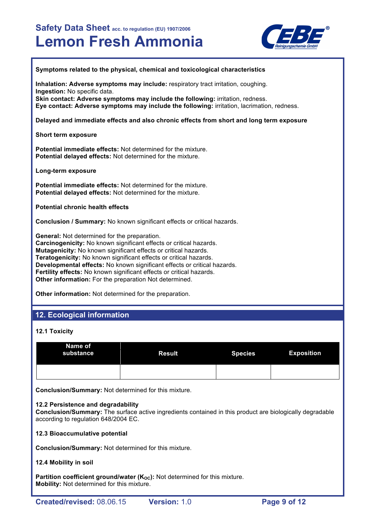

**Symptoms related to the physical, chemical and toxicological characteristics Inhalation: Adverse symptoms may include:** respiratory tract irritation, coughing. **Ingestion:** No specific data. **Skin contact: Adverse symptoms may include the following:** *irritation***, redness. Eye contact: Adverse symptoms may include the following:** irritation, lacrimation, redness. **Delayed and immediate effects and also chronic effects from short and long term exposure Short term exposure Potential immediate effects:** Not determined for the mixture. **Potential delayed effects:** Not determined for the mixture. **Long-term exposure Potential immediate effects:** Not determined for the mixture. **Potential delayed effects:** Not determined for the mixture. **Potential chronic health effects Conclusion / Summary:** No known significant effects or critical hazards. **General:** Not determined for the preparation. **Carcinogenicity:** No known significant effects or critical hazards. **Mutagenicity:** No known significant effects or critical hazards. **Teratogenicity:** No known significant effects or critical hazards. **Developmental effects:** No known significant effects or critical hazards. **Fertility effects:** No known significant effects or critical hazards. **Other information:** For the preparation Not determined. **Other information:** Not determined for the preparation. **12. Ecological information 12.1 Toxicity**

| Name of<br>substance | <b>Result</b> | <b>Species</b> | <b>Exposition</b> |
|----------------------|---------------|----------------|-------------------|
|                      |               |                |                   |

**Conclusion/Summary:** Not determined for this mixture.

#### **12.2 Persistence and degradability**

**Conclusion/Summary:** The surface active ingredients contained in this product are biologically degradable according to regulation 648/2004 EC.

#### **12.3 Bioaccumulative potential**

**Conclusion/Summary:** Not determined for this mixture.

#### **12.4 Mobility in soil**

**Partition coefficient ground/water (K<sub>OC</sub>):** Not determined for this mixture. **Mobility:** Not determined for this mixture.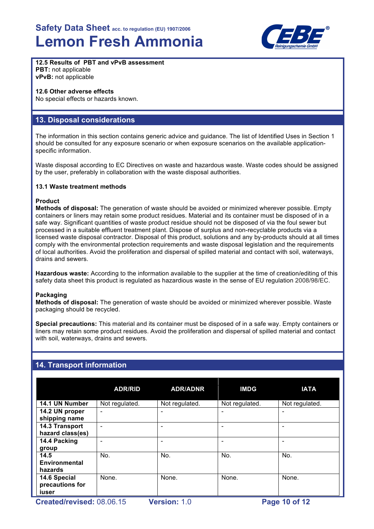

#### **12.5 Results of PBT and vPvB assessment**

**PBT:** not applicable **vPvB:** not applicable

#### **12.6 Other adverse effects**

No special effects or hazards known.

### **13. Disposal considerations**

The information in this section contains generic advice and guidance. The list of Identified Uses in Section 1 should be consulted for any exposure scenario or when exposure scenarios on the available applicationspecific information.

Waste disposal according to EC Directives on waste and hazardous waste. Waste codes should be assigned by the user, preferably in collaboration with the waste disposal authorities.

#### **13.1 Waste treatment methods**

#### **Product**

**Methods of disposal:** The generation of waste should be avoided or minimized wherever possible. Empty containers or liners may retain some product residues. Material and its container must be disposed of in a safe way. Significant quantities of waste product residue should not be disposed of via the foul sewer but processed in a suitable effluent treatment plant. Dispose of surplus and non-recyclable products via a licensed waste disposal contractor. Disposal of this product, solutions and any by-products should at all times comply with the environmental protection requirements and waste disposal legislation and the requirements of local authorities. Avoid the proliferation and dispersal of spilled material and contact with soil, waterways, drains and sewers.

**Hazardous waste:** According to the information available to the supplier at the time of creation/editing of this safety data sheet this product is regulated as hazardious waste in the sense of EU regulation 2008/98/EC.

#### **Packaging**

**Methods of disposal:** The generation of waste should be avoided or minimized wherever possible. Waste packaging should be recycled.

**Special precautions:** This material and its container must be disposed of in a safe way. Empty containers or liners may retain some product residues. Avoid the proliferation and dispersal of spilled material and contact with soil, waterways, drains and sewers.

### **14. Transport information**

|                                          | <b>ADR/RID</b> | <b>ADR/ADNR</b> | <b>IMDG</b>    | <b>IATA</b>    |
|------------------------------------------|----------------|-----------------|----------------|----------------|
| 14.1 UN Number                           | Not regulated. | Not regulated.  | Not regulated. | Not regulated. |
| 14.2 UN proper<br>shipping name          | -              | -               |                |                |
| 14.3 Transport<br>hazard class(es)       |                |                 |                |                |
| 14.4 Packing<br>group                    |                |                 |                |                |
| 14.5<br>Environmental<br>hazards         | No.            | No.             | No.            | No.            |
| 14.6 Special<br>precautions for<br>iuser | None.          | None.           | None.          | None.          |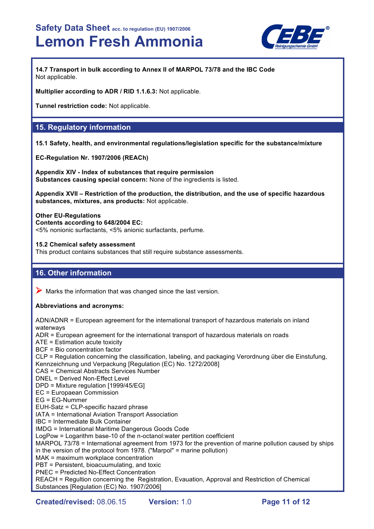

**14.7 Transport in bulk according to Annex II of MARPOL 73/78 and the IBC Code** Not applicable.

**Multiplier according to ADR / RID 1.1.6.3:** Not applicable.

**Tunnel restriction code:** Not applicable.

### **15. Regulatory information**

**15.1 Safety, health, and environmental regulations/legislation specific for the substance/mixture**

**EC-Regulation Nr. 1907/2006 (REACh)**

**Appendix XIV - Index of substances that require permission Substances causing special concern:** None of the ingredients is listed.

**Appendix XVII – Restriction of the production, the distribution, and the use of specific hazardous substances, mixtures, ans products:** Not applicable.

#### **Other EU-Regulations**

**Contents according to 648/2004 EC:** <5% nonionic surfactants, <5% anionic surfactants, perfume.

**15.2 Chemical safety assessment**

This product contains substances that still require substance assessments.

### **16. Other information**

 $\triangleright$  Marks the information that was changed since the last version.

#### **Abbreviations and acronyms:**

ADN/ADNR = European agreement for the international transport of hazardous materials on inland waterways ADR = European agreement for the international transport of hazardous materials on roads ATE = Estimation acute toxicity BCF = Bio concentration factor CLP = Regulation concerning the classification, labeling, and packaging Verordnung über die Einstufung, Kennzeichnung und Verpackung [Regulation (EC) No. 1272/2008] CAS = Chemical Abstracts Services Number DNEL = Derived Non-Effect Level DPD = Mixture regulation [1999/45/EG] EC = Europaean Commission EG = EG-Nummer

- EUH-Satz = CLP-specific hazard phrase
- IATA = International Aviation Transport Association
- IBC = Intermediate Bulk Container

IMDG = International Maritime Dangerous Goods Code

LogPow = Logarithm base-10 of the n-octanol:water pertition coefficient

MARPOL 73/78 = International agreement from 1973 for the prevention of marine pollution caused by ships in the version of the protocol from 1978. ("Marpol" = marine pollution)

MAK = maximum workplace concentration

PBT = Persistent, bioacuumulating, and toxic

PNEC = Predicted No-Effect Concentration

REACH = Regultion concerning the Registration, Evauation, Approval and Restriction of Chemical Substances [Regulation (EC) No. 1907/2006]